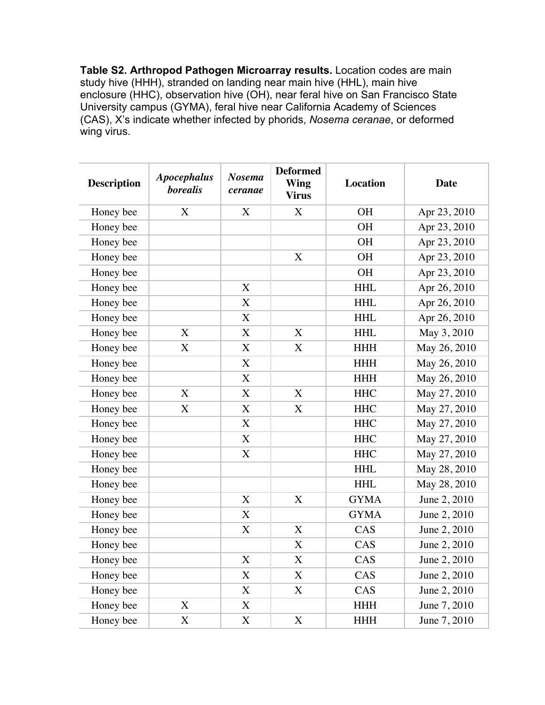**Table S2. Arthropod Pathogen Microarray results.** Location codes are main study hive (HHH), stranded on landing near main hive (HHL), main hive enclosure (HHC), observation hive (OH), near feral hive on San Francisco State University campus (GYMA), feral hive near California Academy of Sciences (CAS), X's indicate whether infected by phorids, *Nosema ceranae*, or deformed wing virus.

| <b>Description</b> | <b>Apocephalus</b><br><b>borealis</b> | <b>Nosema</b><br>ceranae | <b>Deformed</b><br><b>Wing</b><br><b>Virus</b> | <b>Location</b> | <b>Date</b>  |
|--------------------|---------------------------------------|--------------------------|------------------------------------------------|-----------------|--------------|
| Honey bee          | X                                     | X                        | $\boldsymbol{X}$                               | <b>OH</b>       | Apr 23, 2010 |
| Honey bee          |                                       |                          |                                                | <b>OH</b>       | Apr 23, 2010 |
| Honey bee          |                                       |                          |                                                | <b>OH</b>       | Apr 23, 2010 |
| Honey bee          |                                       |                          | X                                              | <b>OH</b>       | Apr 23, 2010 |
| Honey bee          |                                       |                          |                                                | <b>OH</b>       | Apr 23, 2010 |
| Honey bee          |                                       | X                        |                                                | <b>HHL</b>      | Apr 26, 2010 |
| Honey bee          |                                       | $\boldsymbol{X}$         |                                                | <b>HHL</b>      | Apr 26, 2010 |
| Honey bee          |                                       | $\bf X$                  |                                                | <b>HHL</b>      | Apr 26, 2010 |
| Honey bee          | X                                     | X                        | X                                              | <b>HHL</b>      | May 3, 2010  |
| Honey bee          | X                                     | X                        | X                                              | <b>HHH</b>      | May 26, 2010 |
| Honey bee          |                                       | X                        |                                                | <b>HHH</b>      | May 26, 2010 |
| Honey bee          |                                       | X                        |                                                | <b>HHH</b>      | May 26, 2010 |
| Honey bee          | $\boldsymbol{X}$                      | X                        | X                                              | <b>HHC</b>      | May 27, 2010 |
| Honey bee          | $\bf X$                               | $\bf X$                  | X                                              | <b>HHC</b>      | May 27, 2010 |
| Honey bee          |                                       | X                        |                                                | <b>HHC</b>      | May 27, 2010 |
| Honey bee          |                                       | X                        |                                                | <b>HHC</b>      | May 27, 2010 |
| Honey bee          |                                       | $\boldsymbol{X}$         |                                                | <b>HHC</b>      | May 27, 2010 |
| Honey bee          |                                       |                          |                                                | <b>HHL</b>      | May 28, 2010 |
| Honey bee          |                                       |                          |                                                | <b>HHL</b>      | May 28, 2010 |
| Honey bee          |                                       | X                        | X                                              | <b>GYMA</b>     | June 2, 2010 |
| Honey bee          |                                       | X                        |                                                | <b>GYMA</b>     | June 2, 2010 |
| Honey bee          |                                       | X                        | X                                              | CAS             | June 2, 2010 |
| Honey bee          |                                       |                          | $\boldsymbol{X}$                               | CAS             | June 2, 2010 |
| Honey bee          |                                       | X                        | X                                              | CAS             | June 2, 2010 |
| Honey bee          |                                       | X                        | X                                              | CAS             | June 2, 2010 |
| Honey bee          |                                       | $\bf X$                  | X                                              | CAS             | June 2, 2010 |
| Honey bee          | X                                     | X                        |                                                | <b>HHH</b>      | June 7, 2010 |
| Honey bee          | X                                     | X                        | X                                              | <b>HHH</b>      | June 7, 2010 |